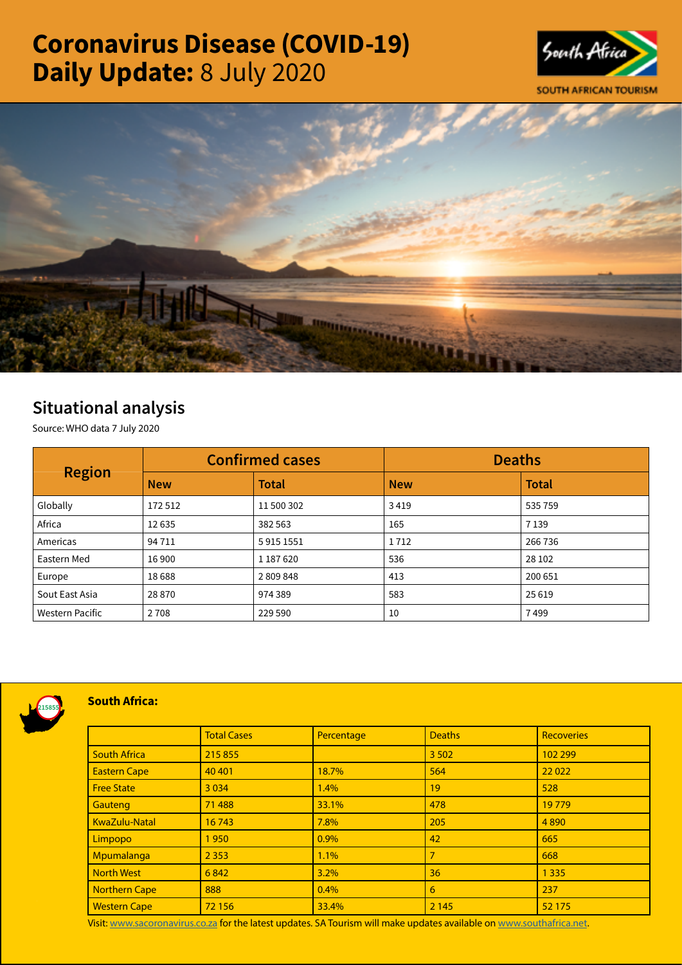# Coronavirus Disease (COVID-19) Daily Update: 8 July 2020





# Situational analysis

Source: WHO data 7 July 2020

| <b>Region</b>          | <b>Confirmed cases</b> |              | <b>Deaths</b> |              |
|------------------------|------------------------|--------------|---------------|--------------|
|                        | <b>New</b>             | <b>Total</b> | <b>New</b>    | <b>Total</b> |
| Globally               | 172512                 | 11 500 302   | 3419          | 535 759      |
| Africa                 | 12635                  | 382 563      | 165           | 7 1 3 9      |
| Americas               | 94 7 1 1               | 59151551     | 1712          | 266 736      |
| Eastern Med            | 16 900                 | 1 187 620    | 536           | 28 10 2      |
| Europe                 | 18688                  | 2809848      | 413           | 200 651      |
| Sout East Asia         | 28870                  | 974389       | 583           | 25 6 19      |
| <b>Western Pacific</b> | 2 7 0 8                | 229 590      | 10            | 7499         |



# South Africa:

|                      | <b>Total Cases</b> | Percentage | <b>Deaths</b> | <b>Recoveries</b> |  |
|----------------------|--------------------|------------|---------------|-------------------|--|
| <b>South Africa</b>  | 215 855            |            | 3 5 0 2       | 102 299           |  |
| <b>Eastern Cape</b>  | 40 40 1            | 18.7%      | 564           | 22 0 22           |  |
| <b>Free State</b>    | 3 0 3 4            | 1.4%       | 19            | 528               |  |
| Gauteng              | 71 488             | 33.1%      | 478           | 19779             |  |
| KwaZulu-Natal        | 16743              | 7.8%       | 205           | 4890              |  |
| Limpopo              | 1950               | 0.9%       | 42            | 665               |  |
| Mpumalanga           | 2 3 5 3            | 1.1%       | 7             | 668               |  |
| <b>North West</b>    | 6842               | 3.2%       | 36            | 1 3 3 5           |  |
| <b>Northern Cape</b> | 888                | 0.4%       | 6             | 237               |  |
| <b>Western Cape</b>  | 72 156             | 33.4%      | 2 1 4 5       | 52 175            |  |

Visit: [www.sacoronavirus.co.za](http://www.sacoronavirus.co.za) for the latest updates. SA Tourism will make updates available on [www.southafrica.net.](http://www.southafrica.net)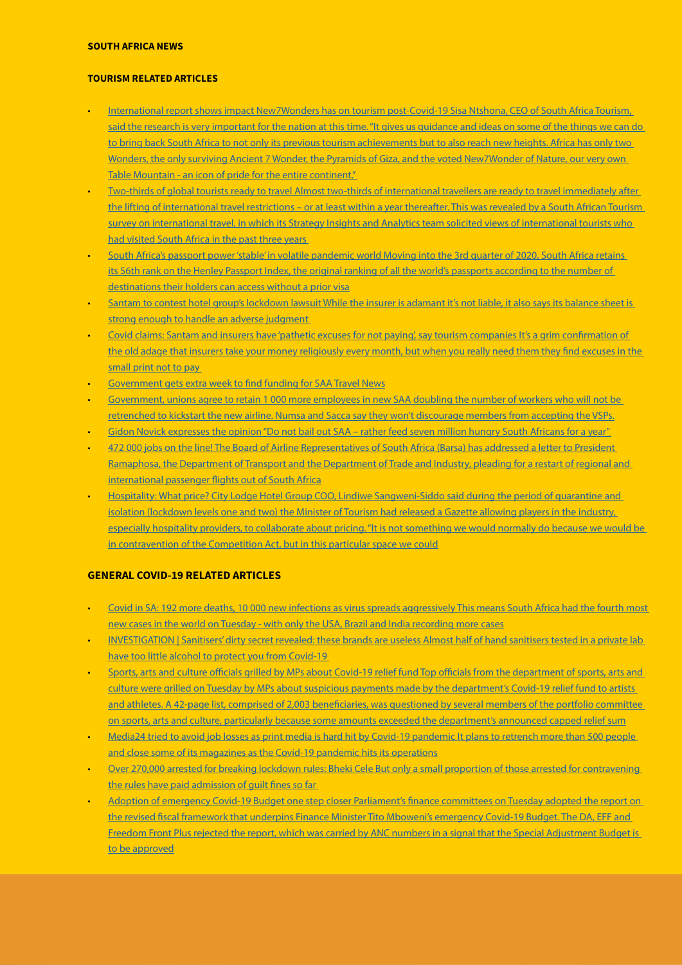# SOUTH AFRICA NEWS

#### TOURISM RELATED ARTICLES

- [International report shows impact New7Wonders has on tourism post-Covid-19 Sisa Ntshona, CEO of South Africa Tourism,](https://www.iol.co.za/travel/travel-news/international-report-shows-impact-new7wonders-has-on-tourism-post-covid-19-50528440)  said the research is very important for the nation at this time. "It gives us guidance and ideas on some of the things we can do to bring back South Africa to not only its previous tourism achievements but to also reach new heights. Africa has only two Wonders, the only surviving Ancient 7 Wonder, the Pyramids of Giza, and the voted New7Wonder of Nature, our very own [Table Mountain - an icon of pride for the entire continent,"](https://www.iol.co.za/travel/travel-news/international-report-shows-impact-new7wonders-has-on-tourism-post-covid-19-50528440)
- [Two-thirds of global tourists ready to travel Almost two-thirds of international travellers are ready to travel immediately after](http://www.tourismupdate.co.za/article/199768/Two-thirds-of-global-tourists-ready-to-travel)  the lifting of international travel restrictions – or at least within a year thereafter. This was revealed by a South African Tourism survey on international travel, in which its Strategy Insights and Analytics team solicited views of international tourists who had visited South Africa in the past three years
- [South Africa's passport power 'stable' in volatile pandemic world Moving into the 3rd quarter of 2020, South Africa retains](https://www.iol.co.za/travel/south-africa/south-africas-passport-power-stable-in-volatile-pandemic-world-50530250)  [its 56th rank on the Henley Passport Index, the original ranking of all the world's passports according to the number of](https://www.iol.co.za/travel/south-africa/south-africas-passport-power-stable-in-volatile-pandemic-world-50530250)  [destinations their holders can access without a prior visa](https://www.iol.co.za/travel/south-africa/south-africas-passport-power-stable-in-volatile-pandemic-world-50530250)
- Santam to contest hotel group's lockdown lawsuit While the insurer is adamant it's not liable, it also says its balance sheet is strong enough to handle an adverse judgment
- [Covid claims: Santam and insurers have 'pathetic excuses for not paying', say tourism companies It's a grim confirmation of](https://www.businesslive.co.za/fm/features/2020-07-08-covid-claims-santam-and-insurers-have-pathetic-excuses-for-not-paying-say-tourism-companies/)  the old adage that insurers take your money religiously every month, but when you really need them they find excuses in the [small print not to pay](https://www.businesslive.co.za/fm/features/2020-07-08-covid-claims-santam-and-insurers-have-pathetic-excuses-for-not-paying-say-tourism-companies/)
- [Government gets extra week to find funding for SAA Travel News](https://www.travelnews.co.za/article/breaking-news-government-gets-extra-week-find-funding-saa)
- [Government, unions agree to retain 1 000 more employees in new SAA doubling the number of workers who will not be](https://www.moneyweb.co.za/news/south-africa/government-unions-agree-to-retain-1-000-more-employees-in-new-saa/)  [retrenched to kickstart the new airline. Numsa and Sacca say they won't discourage members from accepting the VSPs.](https://www.moneyweb.co.za/news/south-africa/government-unions-agree-to-retain-1-000-more-employees-in-new-saa/)
- Gidon Novick expresses the opinion "Do not bail out SAA rather feed seven million hungry South Africans for a year"
- 472 000 jobs on the line! The Board of Airline Representatives of South Africa (Barsa) has addressed a letter to President [Ramaphosa, the Department of Transport and the Department of Trade and Industry, pleading for a restart of regional and](https://www.travelnews.co.za/article/472-000-jobs-line)  [international passenger flights out of South Africa](https://www.travelnews.co.za/article/472-000-jobs-line)
- [Hospitality: What price? City Lodge Hotel Group COO, Lindiwe Sangweni-Siddo said during the period of quarantine and](https://www.travelnews.co.za/article/hospitality-what-price)  isolation (lockdown levels one and two) the Minister of Tourism had released a Gazette allowing players in the industry, [especially hospitality providers, to collaborate about pricing. "It is not something we would normally do because we would be](https://www.travelnews.co.za/article/hospitality-what-price)  [in contravention of the Competition Act, but in this particular space we could](https://www.travelnews.co.za/article/hospitality-what-price)

# GENERAL COVID-19 RELATED ARTICLES

- [Covid in SA: 192 more deaths, 10 000 new infections as virus spreads aggressively This means South Africa had the fourth most](https://www.iol.co.za/news/south-africa/covid-in-sa-192-more-deaths-10-000-new-infections-as-virus-spreads-aggressively-50572683)  [new cases in the world on Tuesday - with only the USA, Brazil and India recording more cases](https://www.iol.co.za/news/south-africa/covid-in-sa-192-more-deaths-10-000-new-infections-as-virus-spreads-aggressively-50572683)
- [INVESTIGATION | Sanitisers' dirty secret revealed: these brands are useless Almost half of hand sanitisers tested in a private lab](C:\Users\dale\Downloads\Almost half of hand sanitisers tested in a private lab have too little alcohol to protect you from Covid-19)  have too little alcohol to protect you from Covid-19
- Sports, arts and culture officials grilled by MPs about Covid-19 relief fund Top officials from the department of sports, arts and [culture were grilled on Tuesday by MPs about suspicious payments made by the department's Covid-19 relief fund to artists](https://www.timeslive.co.za/politics/2020-07-07-sports-arts-and-culture-officials-grilled-by-mps-about-covid-19-relief-fund/)  [and athletes. A 42-page list, comprised of 2,003 beneficiaries, was questioned by several members of the portfolio committee](https://www.timeslive.co.za/politics/2020-07-07-sports-arts-and-culture-officials-grilled-by-mps-about-covid-19-relief-fund/)  [on sports, arts and culture, particularly because some amounts exceeded the department's announced capped relief sum](https://www.timeslive.co.za/politics/2020-07-07-sports-arts-and-culture-officials-grilled-by-mps-about-covid-19-relief-fund/)
- Media24 tried to avoid job losses as print media is hard hit by Covid-19 pandemic It plans to retrench more than 500 people [and close some of its magazines as the Covid-19 pandemic hits its operations](https://www.iol.co.za/business-report/companies/media24-tried-to-avoid-job-losses-as-print-media-is-hard-hit-by-covid-19-pandemic-50548333)
- [Over 270,000 arrested for breaking lockdown rules: Bheki Cele But only a small proportion of those arrested for contravening](https://www.timeslive.co.za/politics/2020-07-07-over-270000-arrested-for-breaking-lockdown-rules-bheki-cele/)  [the rules have paid admission of guilt fines so far](https://www.timeslive.co.za/politics/2020-07-07-over-270000-arrested-for-breaking-lockdown-rules-bheki-cele/)
- [Adoption of emergency Covid-19 Budget one step closer Parliament's finance committees on Tuesday adopted the report on](https://www.dailymaverick.co.za/article/2020-07-08-adoption-of-emergency-covid-19-budget-one-step-closer/#gsc.tab=0)  [the revised fiscal framework that underpins Finance Minister Tito Mboweni's emergency Covid-19 Budget. The DA, EFF and](https://www.dailymaverick.co.za/article/2020-07-08-adoption-of-emergency-covid-19-budget-one-step-closer/#gsc.tab=0)  [Freedom Front Plus rejected the report, which was carried by ANC numbers in a signal that the Special Adjustment Budget is](https://www.dailymaverick.co.za/article/2020-07-08-adoption-of-emergency-covid-19-budget-one-step-closer/#gsc.tab=0)  [to be approved](https://www.dailymaverick.co.za/article/2020-07-08-adoption-of-emergency-covid-19-budget-one-step-closer/#gsc.tab=0)